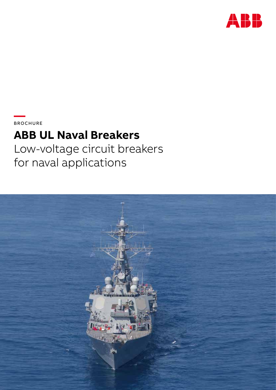

**—**  BROCHURE

# **ABB UL Naval Breakers**

Low-voltage circuit breakers for naval applications

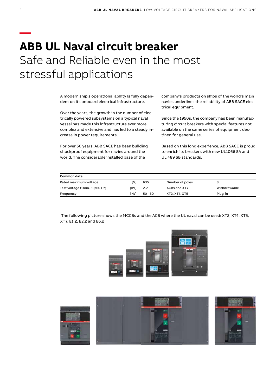# **— ABB UL Naval circuit breaker** Safe and Reliable even in the most stressful applications

A modern ship's operational ability is fully dependent on its onboard electrical infrastructure.

Over the years, the growth in the number of electrically powered subsystems on a typical naval vessel has made this infrastructure ever more complex and extensive and has led to a steady increase in power requirements.

For over 50 years, ABB SACE has been building shockproof equipment for navies around the world. The considerable installed base of the

company's products on ships of the world's main navies underlines the reliability of ABB SACE electrical equipment.

Since the 1950s, the company has been manufacturing circuit breakers with special features not available on the same series of equipment destined for general use.

Based on this long experience, ABB SACE is proud to enrich its breakers with new UL1066 SA and UL 489 SB standards.

| Common data                   |      |           |                 |              |
|-------------------------------|------|-----------|-----------------|--------------|
| Rated maximum voltage         | ſV   | 635       | Number of poles |              |
| Test voltage (1min. 50/60 Hz) | [kV] | 2.2       | ACBs and XT7    | Withdrawable |
| Frequency                     | [Hz] | $50 - 60$ | XT2. XT4. XT5   | Plug-in      |

 The following picture shows the MCCBs and the ACB where the UL naval can be used: XT2, XT4, XT5, XT7, E1.2, E2.2 and E6.2



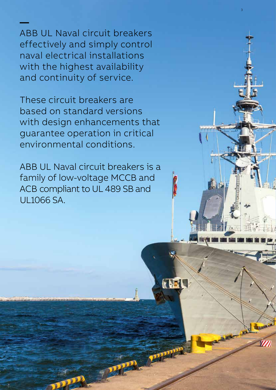ABB UL Naval circuit breakers effectively and simply control naval electrical installations with the highest availability and continuity of service.

**—**

3

**Kuts** 

The Land

**FEED** 

These circuit breakers are based on standard versions with design enhancements that guarantee operation in critical environmental conditions.

ABB UL Naval circuit breakers is a family of low-voltage MCCB and ACB compliant to UL 489 SB and UL1066 SA.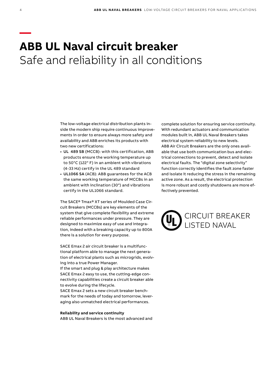### **— ABB UL Naval circuit breaker** Safe and reliability in all conditions

The low-voltage electrical distribution plants inside the modern ship require continuous improvements in order to ensure always more safety and availability and ABB enriches its products with two new certifications:

- UL 489 SB (MCCB): with this certification, ABB products ensure the working temperature up to 50°C (122° F) in an ambient with vibrations (4-33 Hz) certify in the UL 489 standard
- UL1066 SA (ACB): ABB guarantees for the ACB the same working temperature of MCCBs in an ambient with inclination (30°) and vibrations certify in the UL1066 standard.

The SACE® Tmax® XT series of Moulded Case Circuit Breakers (MCCBs) are key elements of the system that give complete flexibility and extreme reliable performances under pressure. They are designed to maximize easy of use and integration, indeed with a breaking capacity up to 800A there is a solution for every purpose.

SACE Emax 2 air circuit breaker is a multifunctional platform able to manage the next generation of electrical plants such as microgrids, evolving into a true Power Manager.

If the smart and plug & play architecture makes SACE Emax 2 easy to use, the cutting-edge connectivity capabilities create a circuit breaker able to evolve during the lifecycle.

SACE Emax 2 sets a new circuit breaker benchmark for the needs of today and tomorrow, leveraging also unmatched electrical performances.

**Reliability and service continuity** ABB UL Naval Breakers is the most advanced and complete solution for ensuring service continuity. With redundant actuators and communication modules built in, ABB UL Naval Breakers takes electrical system reliability to new levels. ABB Air Circuit Breakers are the only ones available that use both communication bus and electrical connections to prevent, detect and isolate electrical faults. The "digital zone selectivity" function correctly identifies the fault zone faster and isolate it reducing the stress in the remaining active zone. As a result, the electrical protection is more robust and costly shutdowns are more effectively prevented.

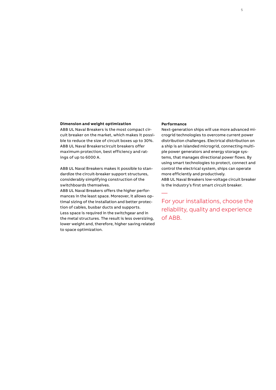#### **Dimension and weight optimization**

ABB UL Naval Breakers is the most compact circuit breaker on the market, which makes it possible to reduce the size of circuit boxes up to 30%. ABB UL Naval Breakerscircuit breakers offer maximum protection, best efficiency and ratings of up to 6000 A.

ABB UL Naval Breakers makes it possible to standardize the circuit-breaker support structures, considerably simplifying construction of the switchboards themselves.

ABB UL Naval Breakers offers the higher performances in the least space. Moreover, it allows optimal sizing of the installation and better protection of cables, busbar ducts and supports. Less space is required in the switchgear and in the metal structures. The result is less oversizing, lower weight and, therefore, higher saving related to space optimization.

### **Performance**

—

Next-generation ships will use more advanced microgrid technologies to overcome current power distribution challenges. Electrical distribution on a ship is an islanded microgrid, connecting multiple power generators and energy storage systems, that manages directional power flows. By using smart technologies to protect, connect and control the electrical system, ships can operate more efficiently and productively. ABB UL Naval Breakers low-voltage circuit breaker is the industry's first smart circuit breaker.

For your installations, choose the reliability, quality and experience of ABB.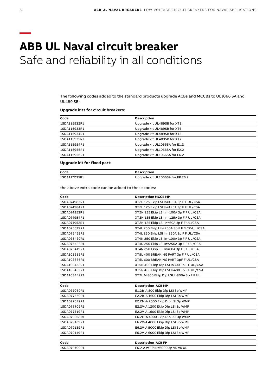## **— ABB UL Naval circuit breaker** Safe and reliability in all conditions

The following codes added to the standard products upgrade ACBs and MCCBs to UL1066 SA and UL489 SB:

### **Upgrade kits for circuit breakers:**

| Code         | <b>Description</b>            |  |
|--------------|-------------------------------|--|
| 1SDA115932R1 | Upgrade kit UL489SB for XT2   |  |
| 1SDA115933R1 | Upgrade kit UL489SB for XT4   |  |
| 1SDA115934R1 | Upgrade kit UL489SB for XT5   |  |
| 1SDA115935R1 | Upgrade kit UL489SB for XT7   |  |
| 1SDA115954R1 | Upgrade kit UL1066SA for E1.2 |  |
| 1SDA115955R1 | Upgrade kit UL1066SA for E2.2 |  |
| 1SDA115956R1 | Upgrade kit UL1066SA for E6.2 |  |

#### **Upgrade kit for fixed part:**

| Code         | Description                      |
|--------------|----------------------------------|
| 1SDA117235R1 | Upgrade kit UL1066SA for FP E6.2 |

the above extra code can be added to these codes:

| Code         | <b>Description MCCB MP</b>                |
|--------------|-------------------------------------------|
| 1SDA074983R1 | XT2L 125 Ekip LSI In=100A 3p F F UL/CSA   |
| 1SDA074984R1 | XT2L 125 Ekip LSI In=125A 3p F F UL/CSA   |
| 1SDA074953R1 | XT2N 125 Ekip LSI In=100A 3p F F UL/CSA   |
| 1SDA074954R1 | XT2N 125 Ekip LSI In=125A 3p F F UL/CSA   |
| 1SDA074952R1 | XT2N 125 Ekip LSI In=60A 3p F F UL/CSA    |
| 1SDA075579R1 | XT4L 250 Ekip I In=250A 3p F F MCP-UL/CSA |
| 1SDA075459R1 | XT4L 250 Ekip LSI In=250A 3p F F UL/CSA   |
| 1SDA075420R1 | XT4N 250 Ekip LSI In=100A 3p F F UL/CSA   |
| 1SDA075423R1 | XT4N 250 Ekip LSI In=250A 3p F F UL/CSA   |
| 1SDA075419R1 | XT4N 250 Ekip LSI In=60A 3p F F UL/CSA    |
| 1SDA102685R1 | XT5L 400 BREAKING PART 3p F F UL/CSA      |
| 1SDA102686R1 | XT5L 600 BREAKING PART 3pF F UL/CSA       |
| 1SDA102452R1 | XT5N 400 Ekip Dip LSI In300 3p F F UL/CSA |
| 1SDA102453R1 | XT5N 400 Ekip Dip LSI In400 3p F F UL/CSA |
| 1SDA103442R1 | XT7L M 800 Ekip Dip LSI In800A 3p F F UL  |
|              |                                           |
| Code         | <b>Description ACB MP</b>                 |
| 1SDA077069R1 | E1.2B-A 800 Ekip Dip LSI 3p WMP           |
| 1SDA077569R1 | E2.2B-A 1600 Ekip Dip LSI 3p WMP          |
| 1SDA077629R1 | E2.2N-A 2000 Ekip Dip LSI 3p WMP          |
| 1SDA077709R1 | E2.2V-A 1200 Ekip Dip LSI 3p WMP          |
| 1SDA077719R1 | E2.2V-A 1600 Ekip Dip LSI 3p WMP          |
| 1SDA079069R1 | E6.2H-A 4000 Ekip Dip LSI 3p WMP          |
| 1SDA079129R1 | E6.2V-A 4000 Ekip Dip LSI 3p WMP          |
| 1SDA079139R1 | E6.2V-A 5000 Ekip Dip LSI 3p WMP          |
| 1SDA079149R1 | E6.2V-A 6000 Ekip Dip LSI 3p WMP          |
| Code         | <b>Description ACB FP</b>                 |
| 1SDA079709R1 | E6.2-A W FP Iu=6000 3p VR VR UL           |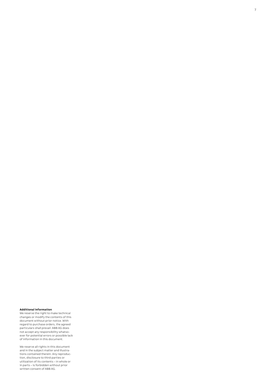#### **Additional information**

We reserve the right to make technical changes or modify the contents of this document without prior notice. With regard to purchase orders, the agreed particulars shall prevail. ABB AG does not accept any responsibility whatso-ever for potential errors or possible lack of information in this document.

We reserve all rights in this document and in the subject matter and illustra-tions contained therein. Any reproduc-tion, disclosure to third parties or utilization of its contents – in whole or in parts – is forbidden without prior written consent of ABB AG.